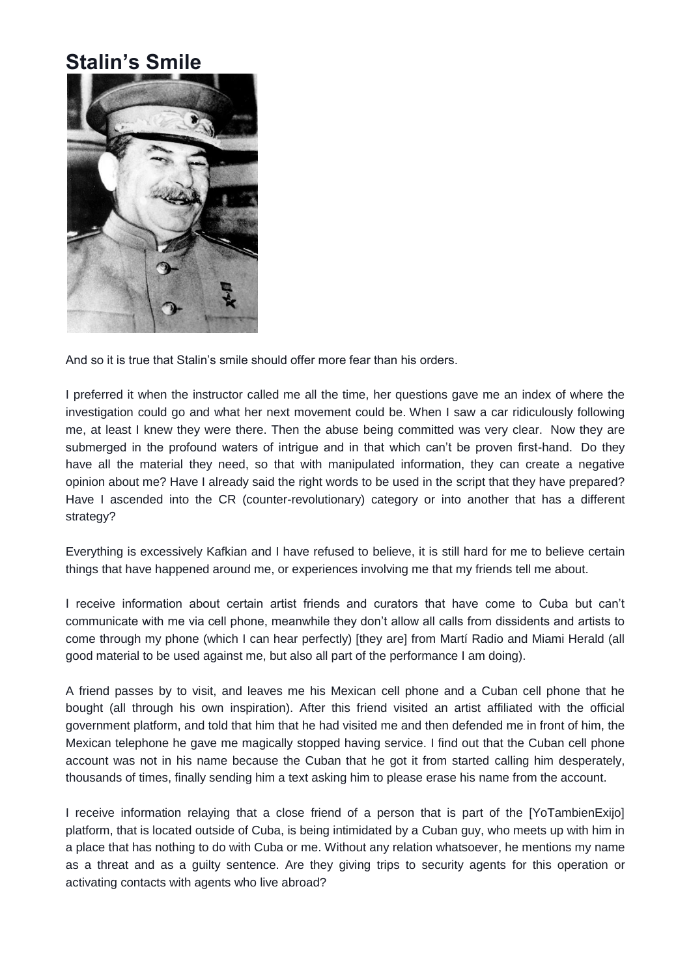## **Stalin's Smile**



And so it is true that Stalin's smile should offer more fear than his orders.

I preferred it when the instructor called me all the time, her questions gave me an index of where the investigation could go and what her next movement could be. When I saw a car ridiculously following me, at least I knew they were there. Then the abuse being committed was very clear. Now they are submerged in the profound waters of intrigue and in that which can't be proven first-hand. Do they have all the material they need, so that with manipulated information, they can create a negative opinion about me? Have I already said the right words to be used in the script that they have prepared? Have I ascended into the CR (counter-revolutionary) category or into another that has a different strategy?

Everything is excessively Kafkian and I have refused to believe, it is still hard for me to believe certain things that have happened around me, or experiences involving me that my friends tell me about.

I receive information about certain artist friends and curators that have come to Cuba but can't communicate with me via cell phone, meanwhile they don't allow all calls from dissidents and artists to come through my phone (which I can hear perfectly) [they are] from Martí Radio and Miami Herald (all good material to be used against me, but also all part of the performance I am doing).

A friend passes by to visit, and leaves me his Mexican cell phone and a Cuban cell phone that he bought (all through his own inspiration). After this friend visited an artist affiliated with the official government platform, and told that him that he had visited me and then defended me in front of him, the Mexican telephone he gave me magically stopped having service. I find out that the Cuban cell phone account was not in his name because the Cuban that he got it from started calling him desperately, thousands of times, finally sending him a text asking him to please erase his name from the account.

I receive information relaying that a close friend of a person that is part of the [YoTambienExijo] platform, that is located outside of Cuba, is being intimidated by a Cuban guy, who meets up with him in a place that has nothing to do with Cuba or me. Without any relation whatsoever, he mentions my name as a threat and as a guilty sentence. Are they giving trips to security agents for this operation or activating contacts with agents who live abroad?